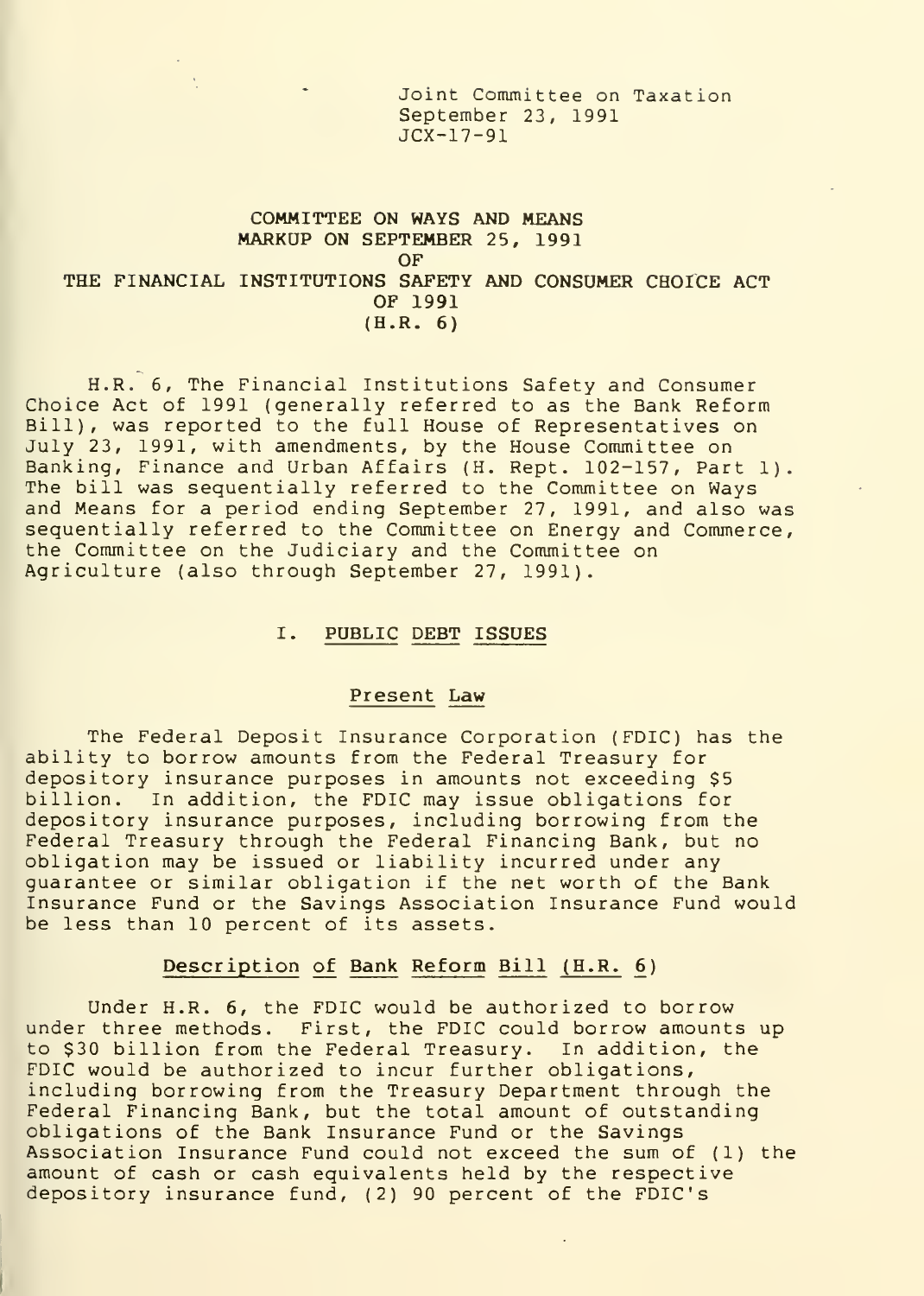Joint Committee on Taxation September 23, 1991 JCX-17-91

# COMMITTEE ON WAYS AND MEANS MARKUP ON SEPTEMBER 25, 1991 OF THE FINANCIAL INSTITUTIONS SAFETY AND CONSUMER CHOICE ACT OF 1991 (H.R. 6)

H.R. 6, The Financial Institutions Safety and Consumer Choice Act of 1991 (generally referred to as the Bank Reform Bill), was reported to the full House of Representatives on July 23, 1991, with amendments, by the House Committee on Banking, Finance and Urban Affairs (H. Rept. 102-157, Part 1). The bill was sequentially referred to the Committee on Ways and Means for a period ending September 27, 1991, and also was sequentially referred to the Committee on Energy and Commerce, the Committee on the Judiciary and the Committee on Agriculture (also through September 27, 1991).

#### I. PUBLIC DEBT ISSUES

### Present Law

The Federal Deposit Insurance Corporation (FDIC) has the ability to borrow amounts from the Federal Treasury for depository insurance purposes in amounts not exceeding \$5 billion. In addition, the FDIC may issue obligations for depository insurance purposes, including borrowing from the Federal Treasury through the Federal Financing Bank, but no obligation may be issued or liability incurred under any guarantee or similar obligation if the net worth of the Bank Insurance Fund or the Savings Association Insurance Fund would be less than 10 percent of its assets.

## Description of Bank Reform Bill (H.R. 6)

Under H.R. 6, the FDIC would be authorized to borrow under three methods. First, the FDIC could borrow amounts up to \$30 billion from the Federal Treasury. In addition, the FDIC would be authorized to incur further obligations, including borrowing from the Treasury Department through the Federal Financing Bank, but the total amount of outstanding obligations of the Bank Insurance Fund or the Savings Association Insurance Fund could not exceed the sum of (1) the amount of cash or cash equivalents held by the respective depository insurance fund, (2) 90 percent of the FDIC's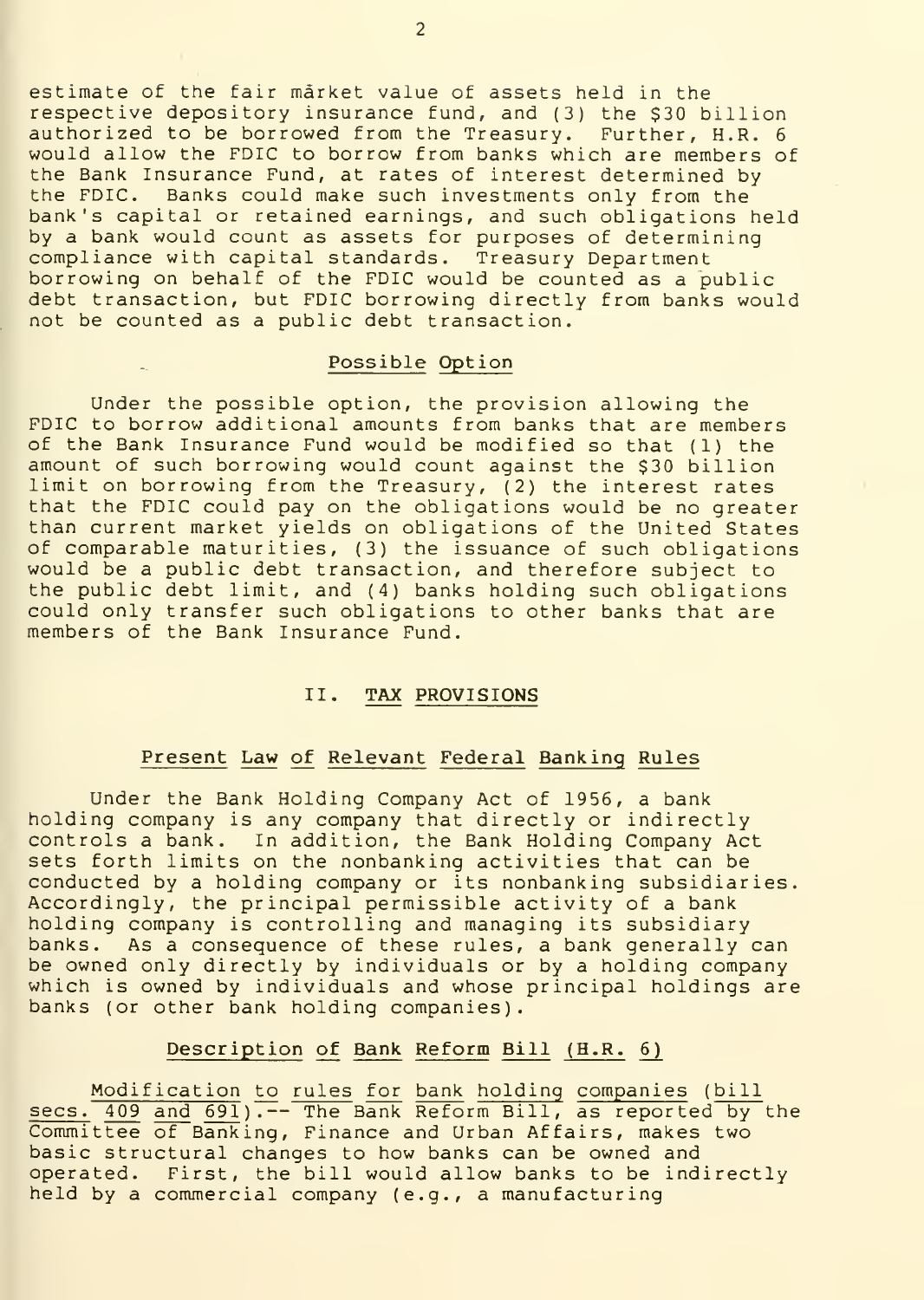estimate of the fair mårket value of assets held in the respective depository insurance fund, and (3) the \$30 billion authorized to be borrowed from the Treasury. Further, H.R. <sup>6</sup> would allow the FDIC to borrow from banks which are members of the Bank Insurance Fund, at rates of interest determined by the FDIC. Banks could make such investments only from the bank's capital or retained earnings, and such obligations held by a bank would count as assets for purposes of determining compliance with capital standards. Treasury Department borrowing on behalf of the FDIC would be counted as a public debt transaction, but FDIC borrowing directly from banks would not be counted as a public debt transaction.

#### Possible Option

Under the possible option, the provision allowing the FDIC to borrow additional amounts from banks that are members of the Bank Insurance Fund would be modified so that (1) the amount of such borrowing would count against the \$30 billion limit on borrowing from the Treasury, (2) the interest rates that the FDIC could pay on the obligations would be no greater than current market yields on obligations of the United States of comparable maturities, (3) the issuance of such obligations would be a public debt transaction, and therefore subject to the public debt limit, and (4) banks holding such obligations could only transfer such obligations to other banks that are members of the Bank Insurance Fund.

## II. TAX PROVISIONS

#### Present Law of Relevant Federal Banking Rules

Under the Bank Holding Company Act of 1956, a bank holding company is any company that directly or indirectly controls a bank. In addition, the Bank Holding Company Act sets forth limits on the nonbanking activities that can be conducted by a holding company or its nonbanking subsidiaries. Accordingly, the principal permissible activity of a bank holding company is controlling and managing its subsidiary banks. As a consequence of these rules, a bank generally can be owned only directly by individuals or by a holding company which is owned by individuals and whose principal holdings are banks (or other bank holding companies).

#### Description of Bank Reform Bill (H.R. 6)

Modification to rules for bank holding companies ( bill secs. 409 and 691).-- The Bank Reform Bill, as reported by the Committee of Banking, Finance and Urban Affairs, makes two basic structural changes to how banks can be owned and operated. First, the bill would allow banks to be indirectly held by a commercial company (e.g., a manufacturing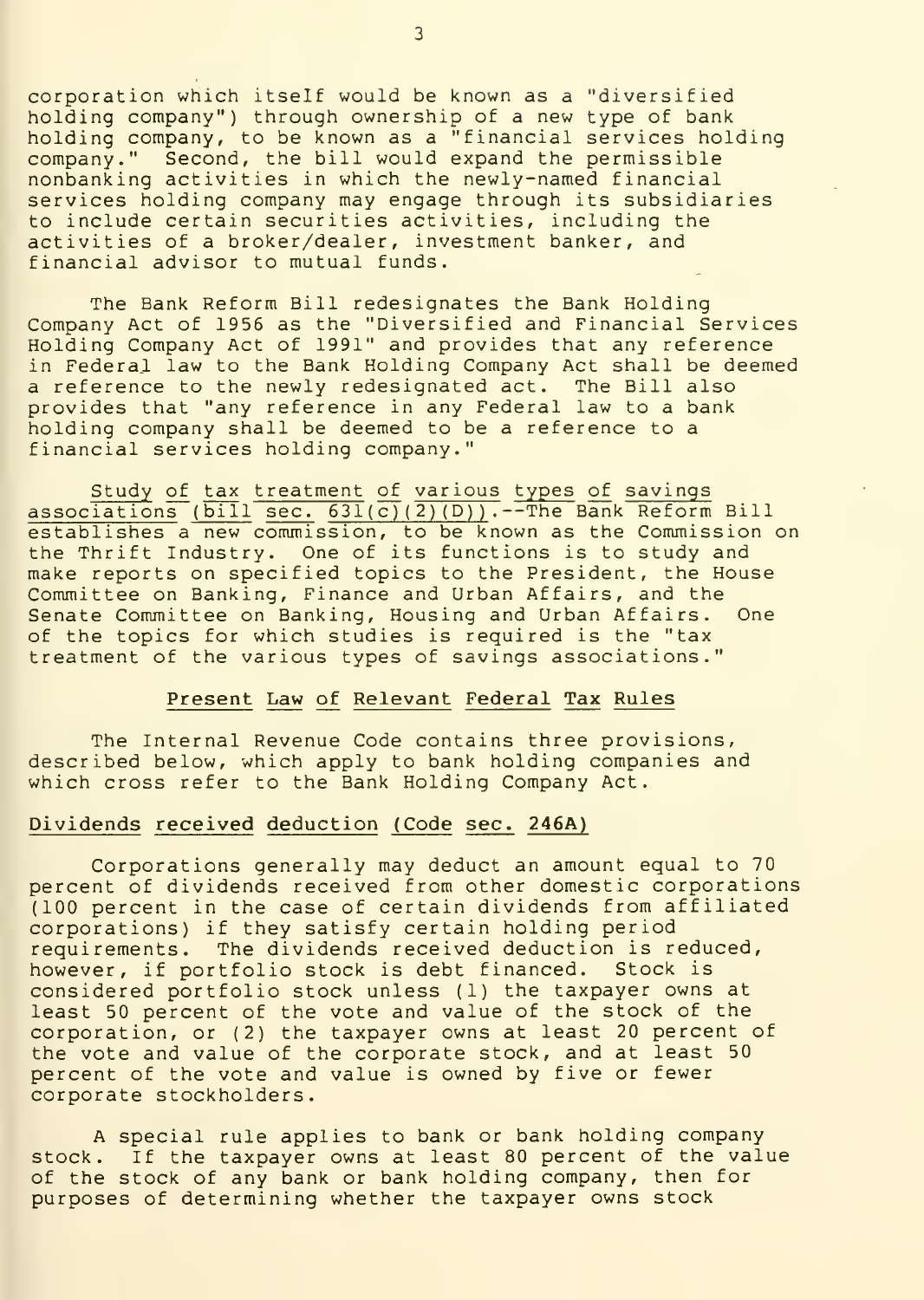corporation which itself would be known as a "diversified holding company") through ownership of a new type of bank holding company, to be known as a "financial services holding company." Second, the bill would expand the permissible nonbanking activities in which the newly-named financial services holding company may engage through its subsidiaries to include certain securities activities, including the activities of a broker/dealer, investment banker, and financial advisor to mutual funds.

The Bank Reform Bill redesignates the Bank Holding Company Act of 1956 as the "Diversified and Financial Services Holding Company Act of 1991" and provides that any reference in Federal law to the Bank Holding Company Act shall be deemed a reference to the newly redesignated act. The Bill also provides that "any reference in any Federal law to a bank holding company shall be deemed to be a reference to a financial services holding company."

Study of tax treatment of various types of savings associations (bill sec. 631(c)(2)(D)).--The Bank Reform Bill establishes a new commission, to be known as the Commission on the Thrift Industry. One of its functions is to study and make reports on specified topics to the President, the House Committee on Banking, Finance and Urban Affairs, and the Senate Committee on Banking, Housing and Urban Affairs. One of the topics for which studies is required is the "tax treatment of the various types of savings associations."

#### Present Law of Relevant Federal Tax Rules

The Internal Revenue Code contains three provisions, described below, which apply to bank holding companies and which cross refer to the Bank Holding Company Act.

### Dividends received deduction (Code sec. 246A)

Corporations generally may deduct an amount equal to 70 percent of dividends received from other domestic corporations (100 percent in the case of certain dividends from affiliated corporations) if they satisfy certain holding period requirements. The dividends received deduction is reduced, however, if portfolio stock is debt financed. Stock is considered portfolio stock unless (1) the taxpayer owns at least 50 percent of the vote and value of the stock of the corporation, or (2) the taxpayer owns at least 20 percent of the vote and value of the corporate stock, and at least 50 percent of the vote and value is owned by five or fewer corporate stockholders.

A special rule applies to bank or bank holding company stock. If the taxpayer owns at least 80 percent of the value of the stock of any bank or bank holding company, then for purposes of determining whether the taxpayer owns stock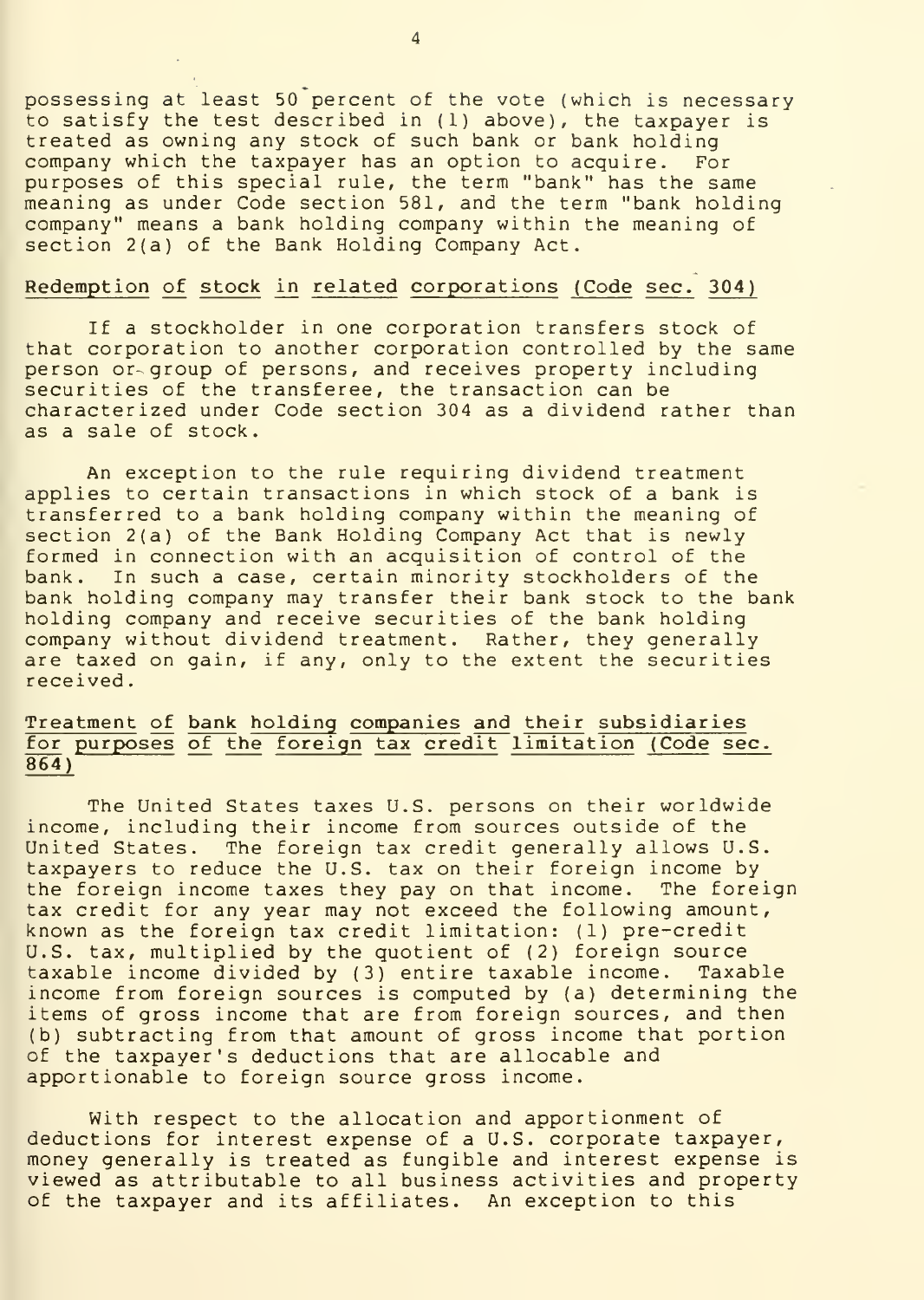possessing at least 50 percent of the vote (which is necessary to satisfy the test described in (1) above), the taxpayer is treated as owning any stock of such bank or bank holding company which the taxpayer has an option to acquire. For purposes of this special rule, the term "bank" has the same meaning as under Code section 581, and the term "bank holding company" means a bank holding company within the meaning of section 2(a) of the Bank Holding Company Act.

## Redemption of stock in related corporations (Code sec. 304)

If a stockholder in one corporation transfers stock of that corporation to another corporation controlled by the same person or- group of persons, and receives property including securities of the transferee, the transaction can be characterized under Code section 304 as a dividend rather than as a sale of stock.

An exception to the rule requiring dividend treatment applies to certain transactions in which stock of a bank is transferred to a bank holding company within the meaning of section 2(a) of the Bank Holding Company Act that is newly formed in connection with an acquisition of control of the bank. In such a case, certain minority stockholders of the bank holding company may transfer their bank stock to the bank holding company and receive securities of the bank holding company without dividend treatment. Rather, they generally are taxed on gain, if any, only to the extent the securities received.

# Treatment of bank holding companies and their subsidiaries for purposes of the foreign tax credit limitation (Code sec. 864)

The United States taxes U.S. persons on their worldwide income, including their income from sources outside of the United States. The foreign tax credit generally allows U.S. taxpayers to reduce the U.S. tax on their foreign income by the foreign income taxes they pay on that income. The foreign tax credit for any year may not exceed the following amount, known as the foreign tax credit limitation: (1) pre-credit U.S. tax, multiplied by the quotient of (2) foreign source<br>taxable income divided by (3) entire taxable income. Taxable taxable income divided by (3) entire taxable income. income from foreign sources is computed by (a) determining the items of gross income that are from foreign sources, and then (b) subtracting from that amount of gross income that portion of the taxpayer's deductions that are allocable and apportionable to foreign source gross income.

With respect to the allocation and apportionment of deductions for interest expense of a U.S. corporate taxpayer, money generally is treated as fungible and interest expense is viewed as attributable to all business activities and property of the taxpayer and its affiliates. An exception to this